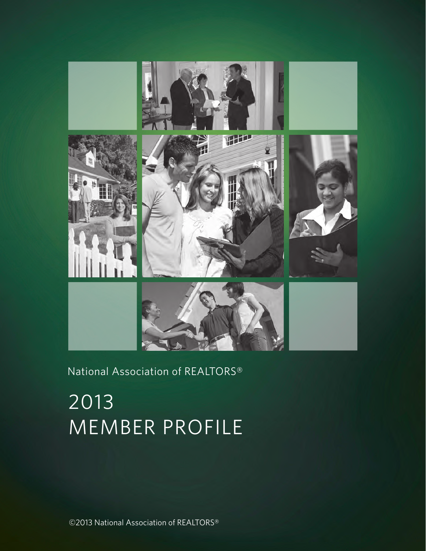

### National Association of REALTORS®

# 2013 MEMBER PROFILE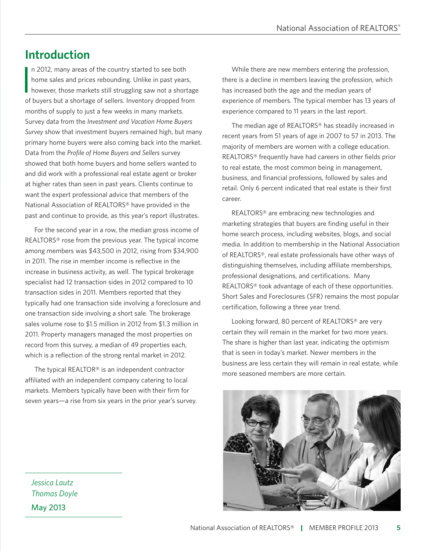National Association of Realtors® | Member Profile 2013 **5**

## **Introduction**

In 2012, many areas of the country started to see both<br>home sales and prices rebounding. Unlike in past years,<br>however, those markets still struggling saw not a shortage n 2012, many areas of the country started to see both home sales and prices rebounding. Unlike in past years, of buyers but a shortage of sellers. Inventory dropped from months of supply to just a few weeks in many markets. Survey data from the *Investment and Vacation Home Buyers Survey* show that investment buyers remained high, but many primary home buyers were also coming back into the market. Data from the *Profile of Home Buyers and Sellers* survey showed that both home buyers and home sellers wanted to and did work with a professional real estate agent or broker at higher rates than seen in past years. Clients continue to want the expert professional advice that members of the National Association of REALTORS® have provided in the past and continue to provide, as this year's report illustrates.

For the second year in a row, the median gross income of REALTORS® rose from the previous year. The typical income among members was \$43,500 in 2012, rising from \$34,900 in 2011. The rise in member income is reflective in the increase in business activity, as well. The typical brokerage specialist had 12 transaction sides in 2012 compared to 10 transaction sides in 2011. Members reported that they typically had one transaction side involving a foreclosure and one transaction side involving a short sale. The brokerage sales volume rose to \$1.5 million in 2012 from \$1.3 million in 2011. Property managers managed the most properties on record from this survey, a median of 49 properties each, which is a reflection of the strong rental market in 2012.

The typical REALTOR® is an independent contractor affiliated with an independent company catering to local markets. Members typically have been with their firm for seven years—a rise from six years in the prior year's survey.

*Jessica Lautz Thomas Doyle* May 2013

While there are new members entering the profession, there is a decline in members leaving the profession, which has increased both the age and the median years of experience of members. The typical member has 13 years of experience compared to 11 years in the last report.

The median age of REALTORS® has steadily increased in recent years from 51 years of age in 2007 to 57 in 2013. The majority of members are women with a college education. REALTORS® frequently have had careers in other fields prior to real estate, the most common being in management, business, and financial professions, followed by sales and retail. Only 6 percent indicated that real estate is their first career.

REALTORS® are embracing new technologies and marketing strategies that buyers are finding useful in their home search process, including websites, blogs, and social media. In addition to membership in the National Association of REALTORS®, real estate professionals have other ways of distinguishing themselves, including affiliate memberships, professional designations, and certifications. Many REALTORS® took advantage of each of these opportunities. Short Sales and Foreclosures (SFR) remains the most popular certification, following a three year trend.

Looking forward, 80 percent of REALTORS® are very certain they will remain in the market for two more years. The share is higher than last year, indicating the optimism that is seen in today's market. Newer members in the business are less certain they will remain in real estate, while more seasoned members are more certain.

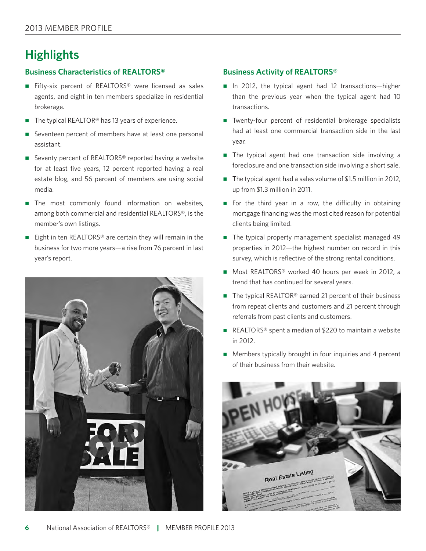### **Highlights**

#### **Business Characteristics of REALTORS®**

- Fifty-six percent of REALTORS<sup>®</sup> were licensed as sales agents, and eight in ten members specialize in residential brokerage.
- $\blacksquare$  The typical REALTOR<sup>®</sup> has 13 years of experience.
- Seventeen percent of members have at least one personal assistant.
- Seventy percent of REALTORS<sup>®</sup> reported having a website for at least five years, 12 percent reported having a real estate blog, and 56 percent of members are using social media.
- The most commonly found information on websites, among both commercial and residential REALTORS®, is the member's own listings.
- Eight in ten REALTORS<sup>®</sup> are certain they will remain in the business for two more years—a rise from 76 percent in last year's report.



#### **Business Activity of REALTORS®**

- $\blacksquare$  In 2012, the typical agent had 12 transactions—higher than the previous year when the typical agent had 10 transactions.
- Twenty-four percent of residential brokerage specialists had at least one commercial transaction side in the last year.
- The typical agent had one transaction side involving a foreclosure and one transaction side involving a short sale.
- $\blacksquare$  The typical agent had a sales volume of \$1.5 million in 2012, up from \$1.3 million in 2011.
- For the third year in a row, the difficulty in obtaining mortgage financing was the most cited reason for potential clients being limited.
- The typical property management specialist managed 49 properties in 2012—the highest number on record in this survey, which is reflective of the strong rental conditions.
- Most REALTORS® worked 40 hours per week in 2012, a trend that has continued for several years.
- $\blacksquare$  The typical REALTOR<sup>®</sup> earned 21 percent of their business from repeat clients and customers and 21 percent through referrals from past clients and customers.
- REALTORS<sup>®</sup> spent a median of \$220 to maintain a website in 2012.
- $\blacksquare$  Members typically brought in four inquiries and 4 percent of their business from their website.

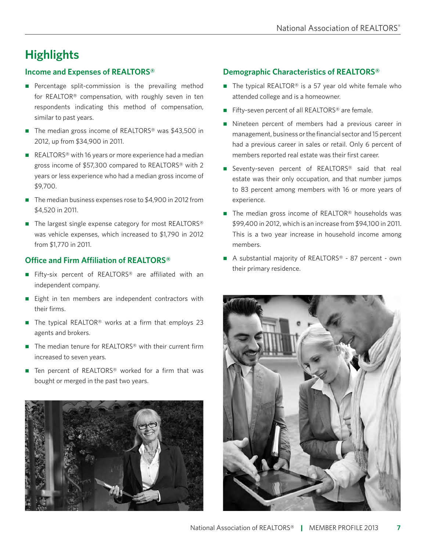# **Highlights**

### **Income and Expenses of REALTORS®**

- $\blacksquare$  Percentage split-commission is the prevailing method for REALTOR® compensation, with roughly seven in ten respondents indicating this method of compensation, similar to past years.
- $\blacksquare$  The median gross income of REALTORS<sup>®</sup> was \$43,500 in 2012, up from \$34,900 in 2011.
- REALTORS<sup>®</sup> with 16 years or more experience had a median gross income of \$57,300 compared to REALTORS® with 2 years or less experience who had a median gross income of \$9,700.
- The median business expenses rose to  $$4,900$  in 2012 from \$4,520 in 2011.
- $\blacksquare$  The largest single expense category for most REALTORS® was vehicle expenses, which increased to \$1,790 in 2012 from \$1,770 in 2011.

### **Office and Firm Affiliation of REALTORS®**

- Fifty-six percent of REALTORS<sup>®</sup> are affiliated with an independent company.
- Eight in ten members are independent contractors with their firms.
- $\blacksquare$  The typical REALTOR<sup>®</sup> works at a firm that employs 23 agents and brokers.
- $\blacksquare$  The median tenure for REALTORS® with their current firm increased to seven years.
- $\blacksquare$  Ten percent of REALTORS® worked for a firm that was bought or merged in the past two years.



### **Demographic Characteristics of REALTORS®**

- $\blacksquare$  The typical REALTOR<sup>®</sup> is a 57 year old white female who attended college and is a homeowner.
- Fifty-seven percent of all REALTORS<sup>®</sup> are female.
- Nineteen percent of members had a previous career in management, business or the financial sector and 15 percent had a previous career in sales or retail. Only 6 percent of members reported real estate was their first career.
- Seventy-seven percent of REALTORS<sup>®</sup> said that real estate was their only occupation, and that number jumps to 83 percent among members with 16 or more years of experience.
- $\blacksquare$  The median gross income of REALTOR® households was \$99,400 in 2012, which is an increase from \$94,100 in 2011. This is a two year increase in household income among members.
- A substantial majority of REALTORS<sup>®</sup> 87 percent own their primary residence.

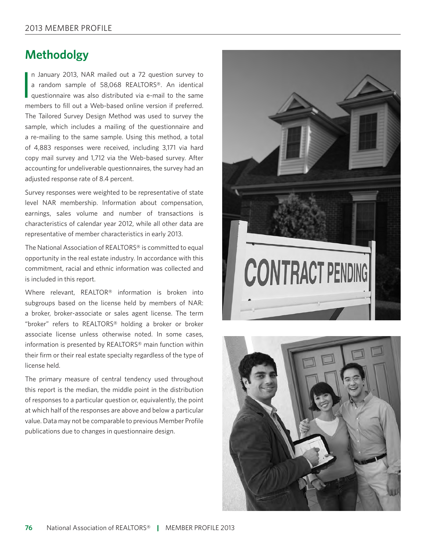### **Methodolgy**

I n January 2013, NAR mailed out a 72 question survey to a random sample of 58,068 REALTORS®. An identical questionnaire was also distributed via e-mail to the same members to fill out a Web-based online version if preferred. The Tailored Survey Design Method was used to survey the sample, which includes a mailing of the questionnaire and a re-mailing to the same sample. Using this method, a total of 4,883 responses were received, including 3,171 via hard copy mail survey and 1,712 via the Web-based survey. After accounting for undeliverable questionnaires, the survey had an adjusted response rate of 8.4 percent.

Survey responses were weighted to be representative of state level NAR membership. Information about compensation, earnings, sales volume and number of transactions is characteristics of calendar year 2012, while all other data are representative of member characteristics in early 2013.

The National Association of REALTORS® is committed to equal opportunity in the real estate industry. In accordance with this commitment, racial and ethnic information was collected and is included in this report.

Where relevant, REALTOR® information is broken into subgroups based on the license held by members of NAR: a broker, broker-associate or sales agent license. The term "broker" refers to REALTORS® holding a broker or broker associate license unless otherwise noted. In some cases, information is presented by REALTORS® main function within their firm or their real estate specialty regardless of the type of license held.

The primary measure of central tendency used throughout this report is the median, the middle point in the distribution of responses to a particular question or, equivalently, the point at which half of the responses are above and below a particular value. Data may not be comparable to previous Member Profile publications due to changes in questionnaire design.



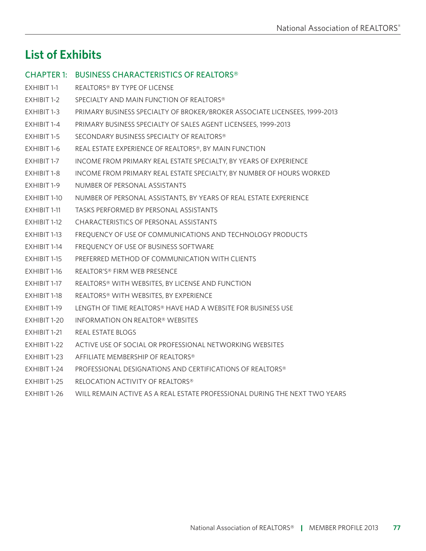### **List of Exhibits**

### Chapter 1: BUSINESS CHARACTERISTICS OF REALTORS®

- Exhibit 1-1 REALTORS® BY TYPE OF LICENSE
- EXHIBIT 1-2 SPECIALTY AND MAIN FUNCTION OF REALTORS®
- Exhibit 1-3 PRIMARY BUSINESS SPECIALTY OF BROKER/BROKER ASSOCIATE LICENSEES, 1999-2013
- Exhibit 1-4 PRIMARY BUSINESS SPECIALTY OF SALES AGENT LICENSEES, 1999-2013
- EXHIBIT 1-5 SECONDARY BUSINESS SPECIALTY OF REALTORS®
- Exhibit 1-6 REAL ESTATE EXPERIENCE OF REALTORS®, BY MAIN FUNCTION
- Exhibit 1-7 INCOME FROM PRIMARY REAL ESTATE SPECIALTY, BY YEARS OF EXPERIENCE
- Exhibit 1-8 INCOME FROM PRIMARY REAL ESTATE SPECIALTY, BY NUMBER OF HOURS WORKED
- Exhibit 1-9 NUMBER OF PERSONAL ASSISTANTS
- Exhibit 1-10 NUMBER OF PERSONAL ASSISTANTS, BY YEARS OF REAL ESTATE EXPERIENCE
- Exhibit 1-11 TASKS PERFORMED BY PERSONAL ASSISTANTS
- Exhibit 1-12 CHARACTERISTICS OF PERSONAL ASSISTANTS
- Exhibit 1-13 FREQUENCY OF USE OF COMMUNICATIONS AND TECHNOLOGY PRODUCTS
- Exhibit 1-14 FREQUENCY OF USE OF BUSINESS SOFTWARE
- Exhibit 1-15 PREFERRED METHOD OF COMMUNICATION WITH CLIENTS
- Exhibit 1-16 REALTOR'S® FIRM WEB PRESENCE
- Exhibit 1-17 REALTORS® WITH WebsiteS, BY LICENSE AND FUNCTION
- Exhibit 1-18 REALTORS® WITH WebsiteS, BY EXPERIENCE
- Exhibit 1-19 LENGTH OF TIME REALTORS® HAVE HAD A Website FOR BUSINESS USE
- Exhibit 1-20 INFORMATION ON REALTOR® WebsiteS
- EXHIBIT 1-21 REAL ESTATE BLOGS
- Exhibit 1-22 ACTIVE USE OF SOCIAL OR PROFESSIONAL NETWORKING WebsiteS
- Exhibit 1-23 AFFILIATE MEMBERSHIP OF REALTORS®
- Exhibit 1-24 PROFESSIONAL DESIGNATIONS AND CERTIFICATIONS OF REALTORS®
- Exhibit 1-25 RELOCATION ACTIVITY OF REALTORS®
- Exhibit 1-26 WILL REMAIN ACTIVE AS A REAL ESTATE PROFESSIONAL DURING THE NEXT TWO YEARS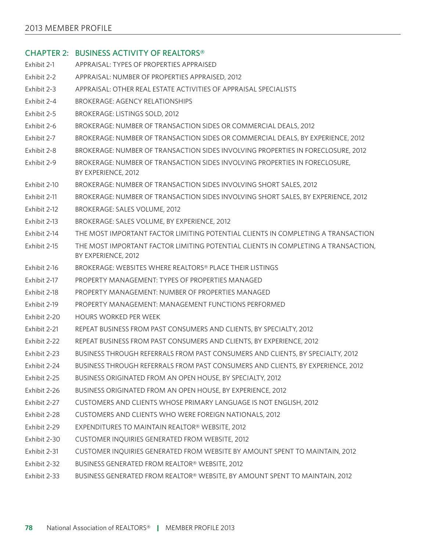### Chapter 2: BUSINESS ACTIVITY OF REALTORS® Exhibit 2-1 APPRAISAL: TYPES OF PROPERTIES APPRAISED Exhibit 2-2 APPRAISAL: NUMBER OF PROPERTIES APPRAISED, 2012 Exhibit 2-3 APPRAISAL: OTHER REAL ESTATE ACTIVITIES OF APPRAISAL SPECIALISTS Exhibit 2-4 BROKERAGE: AGENCY RELATIONSHIPS Exhibit 2-5 BROKERAGE: LISTINGS SOLD, 2012 Exhibit 2-6 BROKERAGE: NUMBER OF TRANSACTION SIDES OR COMMERCIAL DEALS, 2012 Exhibit 2-7 BROKERAGE: NUMBER OF TRANSACTION SIDES OR COMMERCIAL DEALS, BY EXPERIENCE, 2012 Exhibit 2-8 BROKERAGE: NUMBER OF TRANSACTION SIDES INVOLVING PROPERTIES IN FORECLOSURE, 2012 Exhibit 2-9 BROKERAGE: NUMBER OF TRANSACTION SIDES INVOLVING PROPERTIES IN FORECLOSURE, BY EXPERIENCE, 2012 Exhibit 2-10 BROKERAGE: NUMBER OF TRANSACTION SIDES INVOLVING SHORT SALES, 2012 Exhibit 2-11 BROKERAGE: NUMBER OF TRANSACTION SIDES INVOLVING SHORT SALES, BY EXPERIENCE, 2012 Exhibit 2-12 BROKERAGE: SALES VOLUME, 2012 Exhibit 2-13 BROKERAGE: SALES VOLUME, BY EXPERIENCE, 2012 Exhibit 2-14 THE MOST IMPORTANT FACTOR LIMITING POTENTIAL CLIENTS IN COMPLETING A TRANSACTION Exhibit 2-15 THE MOST IMPORTANT FACTOR LIMITING POTENTIAL CLIENTS IN COMPLETING A TRANSACTION, BY EXPERIENCE, 2012 Exhibit 2-16 BROKERAGE: WEBSITES WHERE REALTORS® PLACE THEIR LISTINGS Exhibit 2-17 PROPERTY MANAGEMENT: TYPES OF PROPERTIES MANAGED Exhibit 2-18 PROPERTY MANAGEMENT: NUMBER OF PROPERTIES MANAGED Exhibit 2-19 PROPERTY MANAGEMENT: MANAGEMENT FUNCTIONS PERFORMED Exhibit 2-20 HOURS WORKED PER WEEK Exhibit 2-21 REPEAT BUSINESS FROM PAST CONSUMERS AND CLIENTS, BY SPECIALTY, 2012 Exhibit 2-22 REPEAT BUSINESS FROM PAST CONSUMERS AND CLIENTS, BY EXPERIENCE, 2012 Exhibit 2-23 BUSINESS THROUGH REFERRALS FROM PAST CONSUMERS AND CLIENTS, BY SPECIALTY, 2012 Exhibit 2-24 BUSINESS THROUGH REFERRALS FROM PAST CONSUMERS AND CLIENTS, BY EXPERIENCE, 2012 Exhibit 2-25 BUSINESS ORIGINATED FROM AN OPEN HOUSE, BY SPECIALTY, 2012 Exhibit 2-26 BUSINESS ORIGINATED FROM AN OPEN HOUSE, BY EXPERIENCE, 2012 Exhibit 2-27 CUSTOMERS AND CLIENTS WHOSE PRIMARY LANGUAGE IS NOT ENGLISH, 2012 Exhibit 2-28 CUSTOMERS AND CLIENTS WHO WERE FOREIGN NATIONALS, 2012 Exhibit 2-29 EXPENDITURES TO MAINTAIN REALTOR® WEBSITE, 2012 Exhibit 2-30 CUSTOMER INQUIRIES GENERATED FROM WEBSITE, 2012 Exhibit 2-31 CUSTOMER INQUIRIES GENERATED FROM WEBSITE BY AMOUNT SPENT TO MAINTAIN, 2012 Exhibit 2-32 BUSINESS GENERATED FROM REALTOR® WEBSITE, 2012 Exhibit 2-33 BUSINESS GENERATED FROM REALTOR® WEBSITE, BY AMOUNT SPENT TO MAINTAIN, 2012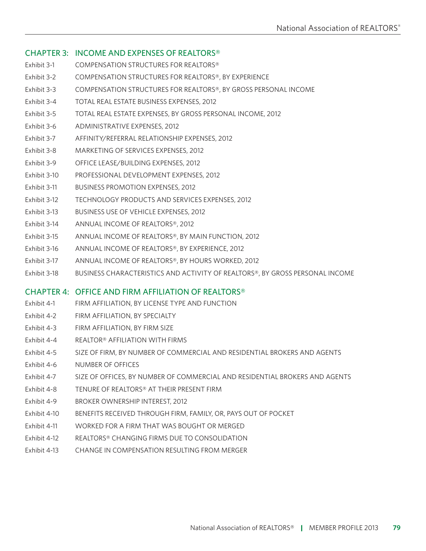### Chapter 3: INCOME AND EXPENSES OF REALTORS®

- Exhibit 3-1 COMPENSATION STRUCTURES FOR REALTORS®
- Exhibit 3-2 COMPENSATION STRUCTURES FOR REALTORS®, BY EXPERIENCE
- Exhibit 3-3 COMPENSATION STRUCTURES FOR REALTORS®, BY GROSS PERSONAL INCOME
- Exhibit 3-4 TOTAL REAL ESTATE BUSINESS EXPENSES, 2012
- Exhibit 3-5 TOTAL REAL ESTATE EXPENSES, BY GROSS PERSONAL INCOME, 2012
- Exhibit 3-6 ADMINISTRATIVE EXPENSES, 2012
- Exhibit 3-7 AFFINITY/REFERRAL RELATIONSHIP EXPENSES, 2012
- Exhibit 3-8 MARKETING OF SERVICES EXPENSES, 2012
- Exhibit 3-9 OFFICE LEASE/BUILDING EXPENSES, 2012
- Exhibit 3-10 PROFESSIONAL DEVELOPMENT EXPENSES, 2012
- Exhibit 3-11 BUSINESS PROMOTION EXPENSES, 2012
- Exhibit 3-12 TECHNOLOGY PRODUCTS AND SERVICES EXPENSES, 2012
- Exhibit 3-13 BUSINESS USE OF VEHICLE EXPENSES, 2012
- Exhibit 3-14 ANNUAL INCOME OF REALTORS®, 2012
- Exhibit 3-15 ANNUAL INCOME OF REALTORS®, BY MAIN FUNCTION, 2012
- Exhibit 3-16 ANNUAL INCOME OF REALTORS®, BY EXPERIENCE, 2012
- Exhibit 3-17 ANNUAL INCOME OF REALTORS®, BY HOURS WORKED, 2012
- Exhibit 3-18 BUSINESS CHARACTERISTICS AND ACTIVITY OF REALTORS®, BY GROSS PERSONAL INCOME

### Chapter 4: OFFICE AND FIRM AFFILIATION OF REALTORS®

- Exhibit 4-1 FIRM AFFILIATION, BY LICENSE TYPE AND FUNCTION
- Exhibit 4-2 FIRM AFFILIATION, BY SPECIALTY
- Exhibit 4-3 FIRM AFFILIATION, BY FIRM SIZE
- Exhibit 4-4 REALTOR® AFFILIATION WITH FIRMS
- Exhibit 4-5 SIZE OF FIRM, BY NUMBER OF COMMERCIAL AND RESIDENTIAL BROKERS AND AGENTS
- Exhibit 4-6 NUMBER OF OFFICES
- Exhibit 4-7 SIZE OF OFFICES, BY NUMBER OF COMMERCIAL AND RESIDENTIAL BROKERS AND AGENTS
- Exhibit 4-8 TENURE OF REALTORS® AT THEIR PRESENT FIRM
- Exhibit 4-9 BROKER OWNERSHIP INTEREST, 2012
- Exhibit 4-10 BENEFITS RECEIVED THROUGH FIRM, FAMILY, OR, PAYS OUT OF POCKET
- Exhibit 4-11 WORKED FOR A FIRM THAT WAS BOUGHT OR MERGED
- Exhibit 4-12 REALTORS® CHANGING FIRMS DUE TO CONSOLIDATION
- Exhibit 4-13 CHANGE IN COMPENSATION RESULTING FROM MERGER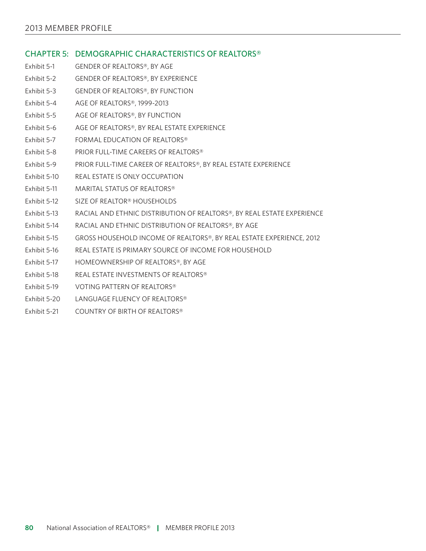#### Chapter 5: DEMOGRAPHIC CHARACTERISTICS OF REALTORS®

- Exhibit 5-1 GENDER OF REALTORS®, BY AGE
- Exhibit 5-2 GENDER OF REALTORS®, BY EXPERIENCE
- Exhibit 5-3 GENDER OF REALTORS®, BY FUNCTION
- Exhibit 5-4 AGE OF REALTORS®, 1999-2013
- Exhibit 5-5 AGE OF REALTORS®, BY FUNCTION
- Exhibit 5-6 AGE OF REALTORS®, BY REAL ESTATE EXPERIENCE
- Exhibit 5-7 FORMAL EDUCATION OF REALTORS<sup>®</sup>
- Exhibit 5-8 PRIOR FULL-TIME CAREERS OF REALTORS®
- Exhibit 5-9 PRIOR FULL-TIME CAREER OF REALTORS®, BY REAL ESTATE EXPERIENCE
- Exhibit 5-10 REAL ESTATE IS ONLY OCCUPATION
- Exhibit 5-11 MARITAL STATUS OF REALTORS®
- Exhibit 5-12 SIZE OF REALTOR® HOUSEHOLDS
- Exhibit 5-13 RACIAL AND ETHNIC DISTRIBUTION OF REALTORS®, BY REAL ESTATE EXPERIENCE
- Exhibit 5-14 RACIAL AND ETHNIC DISTRIBUTION OF REALTORS®, BY AGE
- Exhibit 5-15 GROSS HOUSEHOLD INCOME OF REALTORS®, BY REAL ESTATE EXPERIENCE, 2012
- Exhibit 5-16 REAL ESTATE IS PRIMARY SOURCE OF INCOME FOR HOUSEHOLD
- Exhibit 5-17 HOMEOWNERSHIP OF REALTORS®, BY AGE
- Exhibit 5-18 REAL ESTATE INVESTMENTS OF REALTORS®
- Exhibit 5-19 VOTING PATTERN OF REALTORS®
- Exhibit 5-20 LANGUAGE FLUENCY OF REALTORS®
- Exhibit 5-21 COUNTRY OF BIRTH OF REALTORS®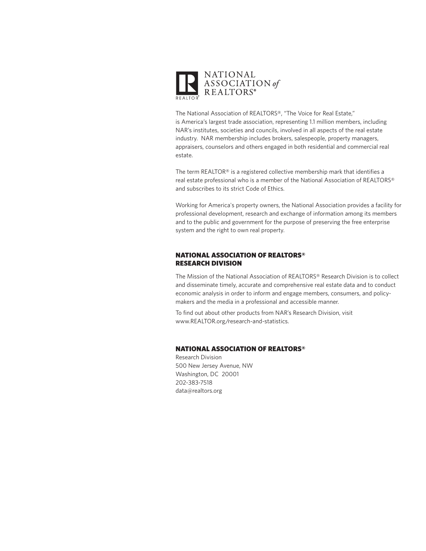

The National Association of REALTORS®, "The Voice for Real Estate," is America's largest trade association, representing 1.1 million members, including NAR's institutes, societies and councils, involved in all aspects of the real estate industry. NAR membership includes brokers, salespeople, property managers, appraisers, counselors and others engaged in both residential and commercial real estate.

The term REALTOR® is a registered collective membership mark that identifies a real estate professional who is a member of the National Association of REALTORS® and subscribes to its strict Code of Ethics.

Working for America's property owners, the National Association provides a facility for professional development, research and exchange of information among its members and to the public and government for the purpose of preserving the free enterprise system and the right to own real property.

#### NATIONAL ASSOCIATION OF REALTORS® RESEARCH DIVISION

The Mission of the National Association of REALTORS® Research Division is to collect and disseminate timely, accurate and comprehensive real estate data and to conduct economic analysis in order to inform and engage members, consumers, and policymakers and the media in a professional and accessible manner.

To find out about other products from NAR's Research Division, visit www.REALTOR.org/research-and-statistics.

#### NATIONAL ASSOCIATION OF REALTORS®

Research Division 500 New Jersey Avenue, NW Washington, DC 20001 202-383-7518 data@realtors.org